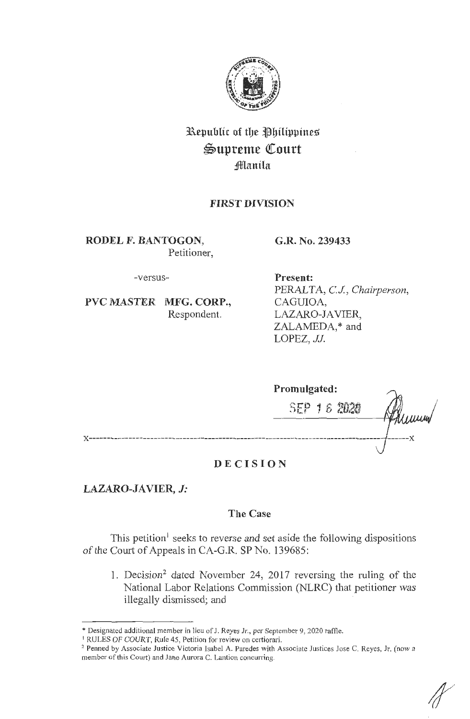

# **Republic of the Philippines**  $\mathfrak{Supreme}$  Court **i!lflanila**

## **FffiST DIVISION**

**RODEL F. BANTOGON,**  Petitioner, **G.R. No. 239433** 

-versus-

**PVC MASTER MFG. CORP.,**  Respondent.

**Present:**  PERALTA, *CJ., Chairperson,*  CAGUIOA, LAZARO-IA VIER, ZALAMEDA,\* and LOPEZ, *JJ.* 

| Promulgated: |  |  |             |     |
|--------------|--|--|-------------|-----|
|              |  |  | SEP 16 2020 | uum |
|              |  |  |             |     |
|              |  |  |             |     |

## **DECISION**

## **LAZARO-JAVIER,** *J:*

## **The Case**

This petition<sup> $\mathbf{1}$ </sup> seeks to reverse and set aside the following dispositions of the Court of Appeals in CA-G.R. SP No. 139685:

1. Decision<sup>2</sup> dated November 24, 2017 reversing the ruling of the National Labor Relations Commission (NLRC) that petitioner was illegally dismissed; and

<sup>\*</sup> Designated additional member in lieu of J. Reyes Jr., per September 9, 2020 raffle.

<sup>&</sup>lt;sup>1</sup> RULES OF COURT, Rule 45, Petition for review on certiorari.

<sup>&</sup>lt;sup>2</sup> Penned by Associate Justice Victoria Isabel A. Paredes with Associate Justices Jose C. Reyes, Jr. (now a member of this Court) and Jane Aurora C. Lantion concurring.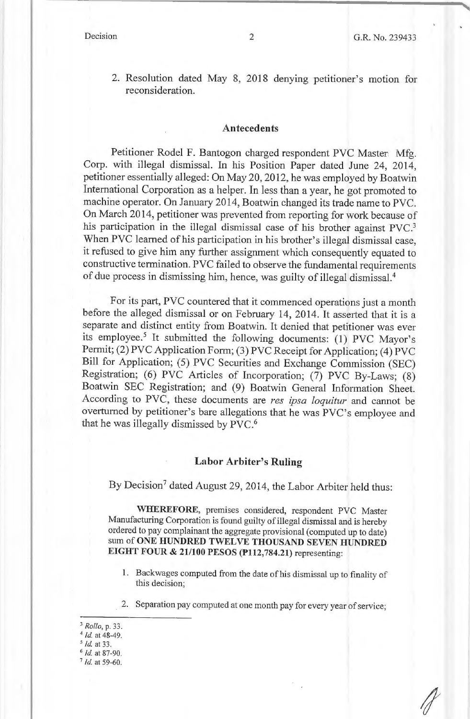2. Resolution dated May 8, 2018 denying petitioner's motion for reconsideration.

#### **Antecedents**

Petitioner Rodel F. Bantogon charged respondent PVC Master: Mfg. Corp. with illegal dismissal. In his Position Paper dated June 24, 2014, petitioner essentially alleged: On May 20, 2012, he was employed by Boatwin International Corporation as a helper. In less than a year, he got promoted to machine operator. On January 2014, Boatwin changed its trade name to PVC. On March 2014, petitioner was prevented from reporting for work because of his participation in the illegal dismissal case of his brother against PVC.<sup>3</sup> When PVC learned of his participation in his brother's illegal dismissal case, it refused to give him any further assignment which consequently equated to constructive termination. PVC failed to observe the fundamental requirements of due process in dismissing him, hence, was guilty of illegal dismissal.4

For its part, PVC countered that it commenced operations just a month before the alleged dismissal or on February 14, 2014. It asserted that it is a separate and distinct entity from Boatwin. It denied that petitioner was ever its employee.<sup>5</sup> It submitted the following documents: (1) PVC Mayor's Permit; (2) PVC Application Form; (3) PVC Receipt for Application; (4) PVC Bill for Application; (5) PVC Securities and Exchange Commission (SEC) Registration; (6) PVC Articles of Incorporation; (7) PVC By-Laws; (8) Boatwin SEC Registration; and (9) Boatwin General Information Sheet. According to PVC, these documents are *res ipsa loquitur* and cannot be overturned by petitioner's bare allegations that he was PVC's employee and that he was illegally dismissed by PVC.6

#### **Labor Arbiter's Ruling**

By Decision<sup>7</sup> dated August 29, 2014, the Labor Arbiter held thus:

**WHEREFORE,** premises considered, respondent PVC Master Manufacturing Corporation is found guilty of illegal dismissal and is hereby ordered to pay complainant the aggregate provisional (computed up to date) sum of **ONE HUNDRED TWELVE THOUSAND SEVEN HUNDRED EIGHT FOUR** & **21/100 PESOS (P112,784.21)** representing:

- 1. Backwages computed from the date of his dismissal up to finality of this decision;
- 2. Separation pay computed at one month pay for every year of service;
- <sup>3</sup>*Rollo,* p. 33.
- $4$  Id. at 48-49.
- *5 Id.* at 33.
- <sup>6</sup>*Id.* at 87-90.
- <sup>7</sup>*Id.* at 59-60.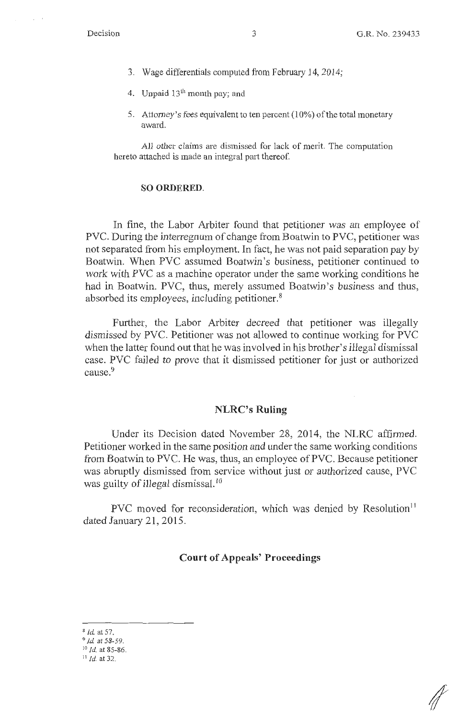- 3. Wage differentials computed from February 14, 2014;
- 4. Unpaid  $13<sup>th</sup>$  month pay; and
- 5. Attorney's fees equivalent to ten percent (I 0%) of the total monetary award.

All other claims are dismissed for lack of merit. The computation hereto attached is made an integral part thereof.

#### **SO ORDERED.**

In fine, the Labor Arbiter found that petitioner was an employee of PVC. During the interregnum of change from Boatwin to PVC, petitioner was not separated from his employment. In fact, he was not paid separation pay by Boatwin. When PVC assumed Boatwin's business, petitioner continued to work with PVC as a machine operator under the same working conditions he had in Boatwin. PVC, thus, merely assumed Boatwin's business and thus, absorbed its employees, including petitioner. 8

Further, the Labor Arbiter decreed that petitioner was illegally dismissed by PVC. Petitioner was not allowed to continue working for PVC when the latter found out that he was involved in his brother's illegal dismissal case. PVC failed to prove that it dismissed petitioner for just or authorized cause.<sup>9</sup>

#### **NLRC's Ruling**

Under its Decision dated November 28, 2014, the NLRC affirmed. Petitioner worked in the same position and under the same working conditions from Boatwin to PVC. He was, thus, an employee of PVC. Because petitioner was abruptly dismissed from service without just or authorized cause, PVC was guilty of illegal dismissal.<sup>10</sup>

PVC moved for reconsideration, which was denied by Resolution<sup>11</sup> dated January 21, 2015.

### **Court of Appeals' Proceedings**

*I* 

<sup>8</sup>*lei.* at 57.

<sup>9</sup>*id.* at 58-59. 10 *Id.* at 85-86.

<sup>11</sup>*Id.* at 32.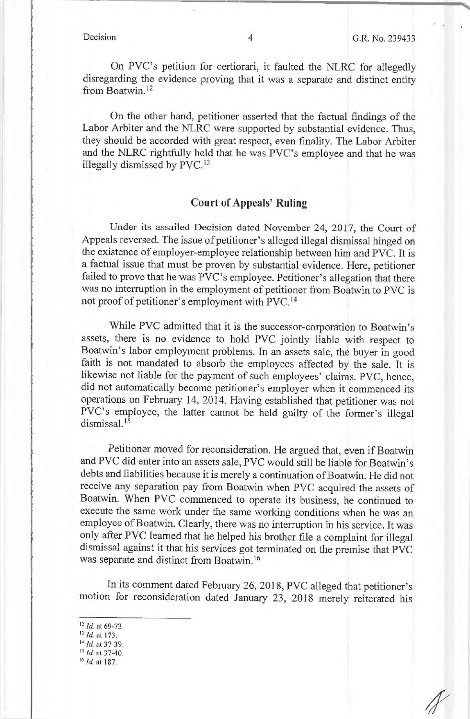On PVC's petition for certiorari, it faulted the NLRC for allegedly disregarding the evidence proving that it was a separate and distinct entity from Boatwin. <sup>12</sup>

On the other hand, petitioner asserted that the factual findings of the Labor Arbiter and the NLRC were supported by substantial evidence. Thus, they should be accorded with great respect, even finality. The Labor Arbiter and the NLRC rightfully held that he was PVC's employee and that he was illegally dismissed by PVC.<sup>13</sup>

### **Court of Appeals' Ruling**

Under its assailed Decision dated November 24, 2017, the Court of Appeals reversed. The issue of petitioner's alleged illegal dismissal hinged on the existence of employer-employee relationship between him and PVC. It is a factual issue that must be proven by substantial evidence. Here, petitioner failed to prove that he was PVC's employee. Petitioner's allegation that there was no interruption in the employment of petitioner from Boatwin to PVC is not proof of petitioner's employment with PVC. <sup>14</sup>

While PVC admitted that it is the successor-corporation to Boatwin's assets, there is no evidence to hold PVC jointly liable with respect to Boatwin's labor employment problems. In an assets sale, the buyer in good faith is not mandated to absorb the employees affected by the sale. It is likewise not liable for the payment of such employees' claims. PVC, hence, did not automatically become petitioner's employer when it commenced its operations on February 14, 2014. Having established that petitioner was not PVC's employee, the latter cannot be held guilty of the former's illegal dismissal. 15

Petitioner moved for reconsideration. He argued that, even if Boatwin and PVC did enter into an assets sale, PVC would still be liable for Boatwin's debts and liabilities because it is merely a continuation of Boatwin. He did not receive any separation pay from Boatwin when PVC acquired the assets of Boatwin. When PVC commenced to operate its business, he continued to execute the same work under the same working conditions when he was an employee of Boatwin. Clearly, there was no interruption in his service. It was only after PVC learned that he helped his brother file a complaint for illegal dismissal against it that his services got terminated on the premise that PVC was separate and distinct from Boatwin. <sup>16</sup>

In its comment dated February 26, 2018, PVC alleged that petitioner's motion for reconsideration dated January 23, 2018 merely reiterated his

- <sup>12</sup>*/d.* at 69-73. 13 */d.* at 173.
- 
- <sup>14</sup>*Id.* at 37-39. 15 *Id* at 37-40.
- 
- <sup>16</sup>*Id.* at 187.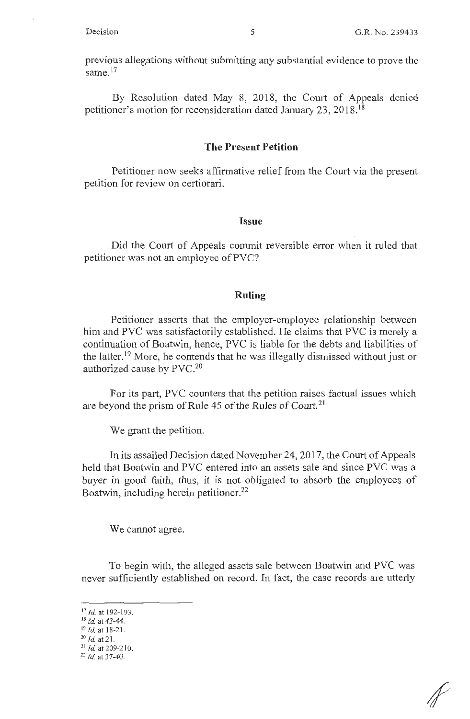previous allegations without submitting any substantial evidence to prove the same.<sup>17</sup>

By Resolution dated May 8, 2018, the Court of Appeals denied petitioner's motion for reconsideration dated January 23, 2018. <sup>18</sup>

#### **The Present Petition**

Petitioner now seeks affirmative relief from the Court via the present petition for review on certiorari.

#### **Issue**

Did the Court of Appeals commit reversible error when it ruled that petitioner was not an employee of PVC?

#### **Ruling**

Petitioner asserts that the employer-employee relationship between him and PVC was satisfactorily established. He claims that PVC is merely a continuation of Boatwin, hence, PVC is liable for the debts and liabilities of the latter.<sup>19</sup> More, he contends that he was illegally dismissed without just or authorized cause by PVC.<sup>20</sup>

For its part, PVC counters that the petition raises factual issues which are beyond the prism of Rule 45 of the Rules of Court.<sup>21</sup>

We grant the petition.

In its assailed Decision dated November 24, 2017, the Court of Appeals held that Boatwin and PVC entered into an assets sale and since PVC was a buyer in good faith, thus, it is not obligated to absorb the employees of Boatwin, including herein petitioner.<sup>22</sup>

We cannot agree.

To begin with, the alleged assets sale between Boatwin and PVC was never sufficiently established on record. In fact, the case records are utterly

- <sup>19</sup>*Id.* at 18-21.
- <sup>20</sup>*Id.* at 21.

<sup>17</sup> *Id.* at 192-193.

<sup>18</sup>*Id.* at 43-44.

<sup>&</sup>lt;sup>21</sup> *Id.* at 209-210.

<sup>22</sup>*Id.* at 37-40.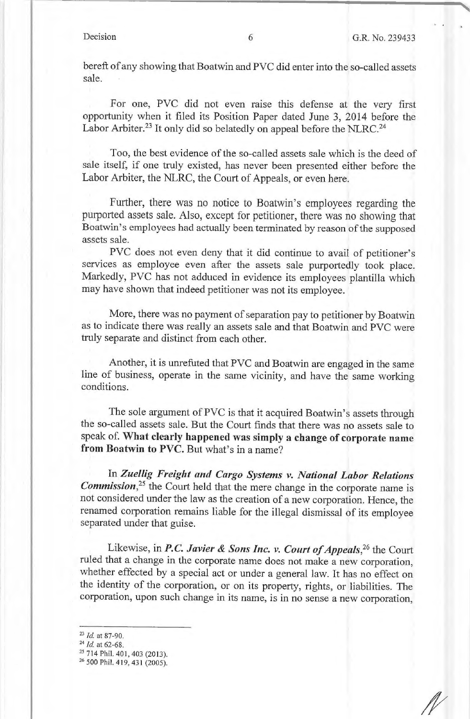bereft of any showing that Boatwin and PVC did enter into the so-called assets sale.

For one, PVC did not even raise this defense at the very first opportunity when it filed its Position Paper dated June 3, 2014 before the Labor Arbiter.<sup>23</sup> It only did so belatedly on appeal before the NLRC.<sup>24</sup>

Too, the best evidence of the so-called assets sale which is the deed of sale itself, if one truly existed, has never been presented either before the Labor Arbiter, the NLRC, the Court of Appeals, or even here.

Further, there was no notice to Boatwin's employees regarding the purported assets sale. Also, except for petitioner, there was no showing that Boatwin's employees had actually been terminated by reason of the supposed assets sale.

PVC does not even deny that it did continue to avail of petitioner's services as employee even after the assets sale purportedly took place. Markedly, PVC has not adduced in evidence its employees plantilla which may have shown that indeed petitioner was not its employee.

More, there was no payment of separation pay to petitioner by Boatwin as to indicate there was really an assets sale and that Boatwin and PVC were truly separate and distinct from each other.

Another, it is unrefuted that PVC and Boatwin are engaged in the same line of business, operate in the same vicinity, and have the same working conditions.

The sole argument of PVC is that it acquired Boatwin's assets through the so-called assets sale. But the Court finds that there was no assets sale to speak of. **What clearly happened was simply a change of corporate name from Boatwin to PVC.** But what's in a name?

In *Zuellig Freight and Cargo Systems v. National Labor Relations Commission*<sup>25</sup>, the Court held that the mere change in the corporate name is not considered under the law as the creation of a new corporation. Hence, the renamed corporation remains liable for the illegal dismissal of its employee separated under that guise.

Likewise, in *P.C. Javier & Sons Inc. v. Court of Appeals*,<sup>26</sup> the Court ruled that a change in the corporate name does not make a new corporation, whether effected by a special act or under a general law. It has no effect on the identity of the corporation, or on its property, rights, or liabilities. The corporation, upon such change in its name, is in no sense a new corporation,

<sup>&</sup>lt;sup>23</sup> *Id.* at 87-90.<br><sup>24</sup> *Id.* at 62-68.<br><sup>25</sup> 714 Phil. 401, 403 (2013).<br><sup>26</sup> 500 Phil. 419, 431 (2005).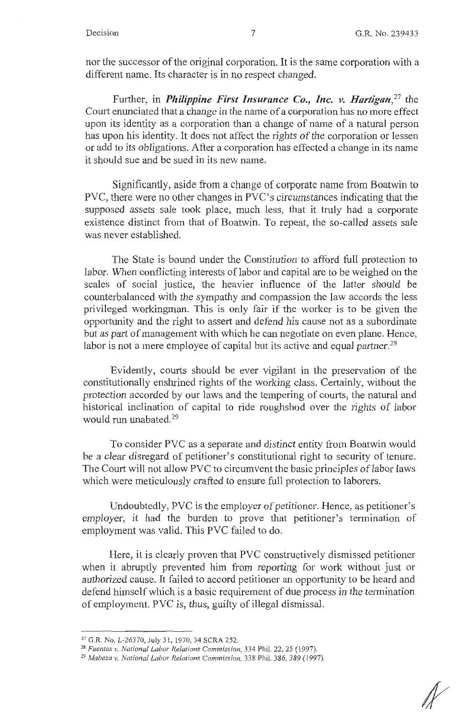nor the successor of the original corporation. It is the same corporation with a different name. Its character is in no respect changed.

Further, in *Philippine First Insurance Co., Inc. v. Hartigan,27* the Court enunciated that a change in the name of a corporation has no more effect upon its identity as a corporation than a change of name of a natural person has upon his identity. It does not affect the rights of the corporation or lessen or add to its obligations. After a corporation has effected a change in its name it should sue and be sued in its new name.

Significantly, aside from a change of corporate name from Boatwin to PVC, there were no other changes in PVC's circumstances indicating that the supposed assets sale took place, much less, that it truly had a corporate existence distinct from that of Boatwin. To repeat, the so-called assets sale was never established.

The State is bound under the Constitution to afford full protection to labor. When conflicting interests of labor and capital are to be weighed on the scales of social justice, the heavier influence of the latter should be counterbalanced with the sympathy and compassion the law accords the less privileged workingman. This is only fair if the worker is to be given the opportunity and the right to assert and defend his cause not as a subordinate but as part of management with which he can negotiate on even plane. Hence, labor is not a mere employee of capital but its active and equal partner.<sup>28</sup>

Evidently, courts should be ever vigilant in the preservation of the constitutionally enshrined rights of the working class. Certainly, without the protection accorded by our laws and the tempering of courts, the natural and historical inclination of capital to ride roughshod over the rights of labor would run unabated.29

To consider PVC as a separate and distinct entity from Boatwin would be a clear disregard of petitioner's constitutional right to security of tenure. The Court will not allow PVC to circumvent the basic principles of labor laws which were meticulously crafted to ensure full protection to laborers.

Undoubtedly, PVC is the employer of petitioner. Hence, as petitioner's employer, it had the burden to prove that petitioner's termination of employment was valid. This PVC failed to do.

Here, it is clearly proven that PVC constructively dismissed petitioner when it abruptly prevented him from reporting for work without just or authorized cause. It failed to accord petitioner an opportunity to be heard and defend himself which is a basic requirement of due process in the termination of employment. PVC is, thus, guilty of illegal dismissal.

<sup>27</sup> G.R. No. L-26370, July <sup>3</sup> 1, 1970, 34 SCRA 252. 28 *Fuentes v. National Labor Relations Commission,* 334 Phil. 22, 25 ( 1997).

<sup>29</sup>*Mabeza v. National Labor Relations Commission,* 338 Phil. 386, 389 ( 1997).